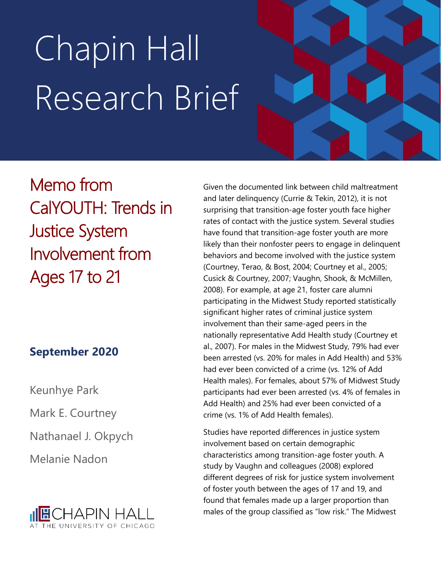# Chapin Hall Research Brief

Memo from CalYOUTH: Trends in Justice System Involvement from Ages 17 to 21

# **September 2020**

Keunhye Park

Mark E. Courtney

Nathanael J. Okpych

Melanie Nadon



Given the documented link between child maltreatment and later delinquency (Currie & Tekin, 2012), it is not surprising that transition-age foster youth face higher rates of contact with the justice system. Several studies have found that transition-age foster youth are more likely than their nonfoster peers to engage in delinquent behaviors and become involved with the justice system (Courtney, Terao, & Bost, 2004; Courtney et al., 2005; Cusick & Courtney, 2007; Vaughn, Shook, & McMillen, 2008). For example, at age 21, foster care alumni participating in the Midwest Study reported statistically significant higher rates of criminal justice system involvement than their same-aged peers in the nationally representative Add Health study (Courtney et al., 2007). For males in the Midwest Study, 79% had ever been arrested (vs. 20% for males in Add Health) and 53% had ever been convicted of a crime (vs. 12% of Add Health males). For females, about 57% of Midwest Study participants had ever been arrested (vs. 4% of females in Add Health) and 25% had ever been convicted of a crime (vs. 1% of Add Health females).

Studies have reported differences in justice system involvement based on certain demographic characteristics among transition-age foster youth. A study by Vaughn and colleagues (2008) explored different degrees of risk for justice system involvement of foster youth between the ages of 17 and 19, and found that females made up a larger proportion than males of the group classified as "low risk." The Midwest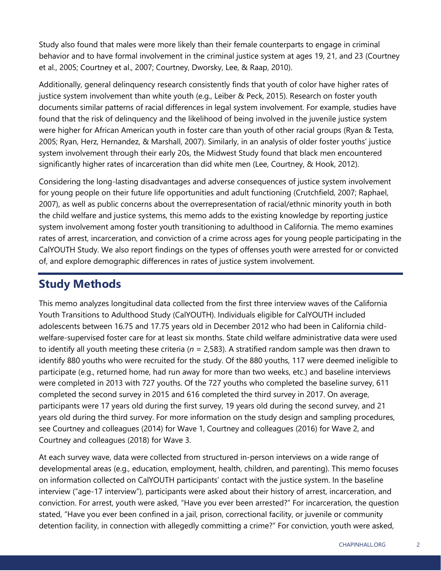Study also found that males were more likely than their female counterparts to engage in criminal behavior and to have formal involvement in the criminal justice system at ages 19, 21, and 23 (Courtney et al., 2005; Courtney et al., 2007; Courtney, Dworsky, Lee, & Raap, 2010).

Additionally, general delinquency research consistently finds that youth of color have higher rates of justice system involvement than white youth (e.g., Leiber & Peck, 2015). Research on foster youth documents similar patterns of racial differences in legal system involvement. For example, studies have found that the risk of delinquency and the likelihood of being involved in the juvenile justice system were higher for African American youth in foster care than youth of other racial groups (Ryan & Testa, 2005; Ryan, Herz, Hernandez, & Marshall, 2007). Similarly, in an analysis of older foster youths' justice system involvement through their early 20s, the Midwest Study found that black men encountered significantly higher rates of incarceration than did white men (Lee, Courtney, & Hook, 2012).

Considering the long-lasting disadvantages and adverse consequences of justice system involvement for young people on their future life opportunities and adult functioning (Crutchfield, 2007; Raphael, 2007), as well as public concerns about the overrepresentation of racial/ethnic minority youth in both the child welfare and justice systems, this memo adds to the existing knowledge by reporting justice system involvement among foster youth transitioning to adulthood in California. The memo examines rates of arrest, incarceration, and conviction of a crime across ages for young people participating in the CalYOUTH Study. We also report findings on the types of offenses youth were arrested for or convicted of, and explore demographic differences in rates of justice system involvement.

# **Study Methods**

This memo analyzes longitudinal data collected from the first three interview waves of the California Youth Transitions to Adulthood Study (CalYOUTH). Individuals eligible for CalYOUTH included adolescents between 16.75 and 17.75 years old in December 2012 who had been in California childwelfare-supervised foster care for at least six months. State child welfare administrative data were used to identify all youth meeting these criteria (*n* = 2,583). A stratified random sample was then drawn to identify 880 youths who were recruited for the study. Of the 880 youths, 117 were deemed ineligible to participate (e.g., returned home, had run away for more than two weeks, etc.) and baseline interviews were completed in 2013 with 727 youths. Of the 727 youths who completed the baseline survey, 611 completed the second survey in 2015 and 616 completed the third survey in 2017. On average, participants were 17 years old during the first survey, 19 years old during the second survey, and 21 years old during the third survey. For more information on the study design and sampling procedures, see Courtney and colleagues (2014) for Wave 1, Courtney and colleagues (2016) for Wave 2, and Courtney and colleagues (2018) for Wave 3.

At each survey wave, data were collected from structured in-person interviews on a wide range of developmental areas (e.g., education, employment, health, children, and parenting). This memo focuses on information collected on CalYOUTH participants' contact with the justice system. In the baseline interview ("age-17 interview"), participants were asked about their history of arrest, incarceration, and conviction. For arrest, youth were asked, "Have you ever been arrested?" For incarceration, the question stated, "Have you ever been confined in a jail, prison, correctional facility, or juvenile or community detention facility, in connection with allegedly committing a crime?" For conviction, youth were asked,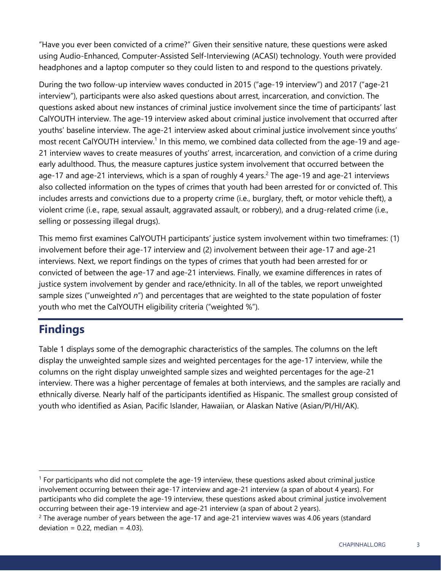"Have you ever been convicted of a crime?" Given their sensitive nature, these questions were asked using Audio-Enhanced, Computer-Assisted Self-Interviewing (ACASI) technology. Youth were provided headphones and a laptop computer so they could listen to and respond to the questions privately.

During the two follow-up interview waves conducted in 2015 ("age-19 interview") and 2017 ("age-21 interview"), participants were also asked questions about arrest, incarceration, and conviction. The questions asked about new instances of criminal justice involvement since the time of participants' last CalYOUTH interview. The age-19 interview asked about criminal justice involvement that occurred after youths' baseline interview. The age-21 interview asked about criminal justice involvement since youths' most recent CalYOUTH interview.<sup>1</sup> In this memo, we combined data collected from the age-19 and age-21 interview waves to create measures of youths' arrest, incarceration, and conviction of a crime during early adulthood. Thus, the measure captures justice system involvement that occurred between the age-17 and age-21 interviews, which is a span of roughly 4 years.<sup>2</sup> The age-19 and age-21 interviews also collected information on the types of crimes that youth had been arrested for or convicted of. This includes arrests and convictions due to a property crime (i.e., burglary, theft, or motor vehicle theft), a violent crime (i.e., rape, sexual assault, aggravated assault, or robbery), and a drug-related crime (i.e., selling or possessing illegal drugs).

This memo first examines CalYOUTH participants' justice system involvement within two timeframes: (1) involvement before their age-17 interview and (2) involvement between their age-17 and age-21 interviews. Next, we report findings on the types of crimes that youth had been arrested for or convicted of between the age-17 and age-21 interviews. Finally, we examine differences in rates of justice system involvement by gender and race/ethnicity. In all of the tables, we report unweighted sample sizes ("unweighted *n*") and percentages that are weighted to the state population of foster youth who met the CalYOUTH eligibility criteria ("weighted %").

# **Findings**

Table 1 displays some of the demographic characteristics of the samples. The columns on the left display the unweighted sample sizes and weighted percentages for the age-17 interview, while the columns on the right display unweighted sample sizes and weighted percentages for the age-21 interview. There was a higher percentage of females at both interviews, and the samples are racially and ethnically diverse. Nearly half of the participants identified as Hispanic. The smallest group consisted of youth who identified as Asian, Pacific Islander, Hawaiian, or Alaskan Native (Asian/PI/HI/AK).

<sup>&</sup>lt;sup>1</sup> For participants who did not complete the age-19 interview, these questions asked about criminal justice involvement occurring between their age-17 interview and age-21 interview (a span of about 4 years). For participants who did complete the age-19 interview, these questions asked about criminal justice involvement occurring between their age-19 interview and age-21 interview (a span of about 2 years).

<sup>&</sup>lt;sup>2</sup> The average number of years between the age-17 and age-21 interview waves was 4.06 years (standard deviation =  $0.22$ , median =  $4.03$ ).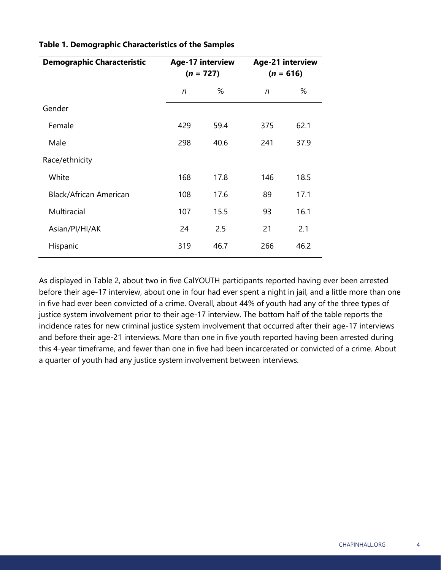| <b>Demographic Characteristic</b> | Age-17 interview<br>$(n = 727)$ |      | Age-21 interview<br>$(n = 616)$ |      |
|-----------------------------------|---------------------------------|------|---------------------------------|------|
|                                   |                                 |      |                                 |      |
|                                   | n                               | %    | n                               | %    |
| Gender                            |                                 |      |                                 |      |
| Female                            | 429                             | 59.4 | 375                             | 62.1 |
| Male                              | 298                             | 40.6 | 241                             | 37.9 |
| Race/ethnicity                    |                                 |      |                                 |      |
| White                             | 168                             | 17.8 | 146                             | 18.5 |
| Black/African American            | 108                             | 17.6 | 89                              | 17.1 |
| Multiracial                       | 107                             | 15.5 | 93                              | 16.1 |
| Asian/Pl/Hl/AK                    | 24                              | 2.5  | 21                              | 2.1  |
| Hispanic                          | 319                             | 46.7 | 266                             | 46.2 |

#### **Table 1. Demographic Characteristics of the Samples**

As displayed in Table 2, about two in five CalYOUTH participants reported having ever been arrested before their age-17 interview, about one in four had ever spent a night in jail, and a little more than one in five had ever been convicted of a crime. Overall, about 44% of youth had any of the three types of justice system involvement prior to their age-17 interview. The bottom half of the table reports the incidence rates for new criminal justice system involvement that occurred after their age-17 interviews and before their age-21 interviews. More than one in five youth reported having been arrested during this 4-year timeframe, and fewer than one in five had been incarcerated or convicted of a crime. About a quarter of youth had any justice system involvement between interviews.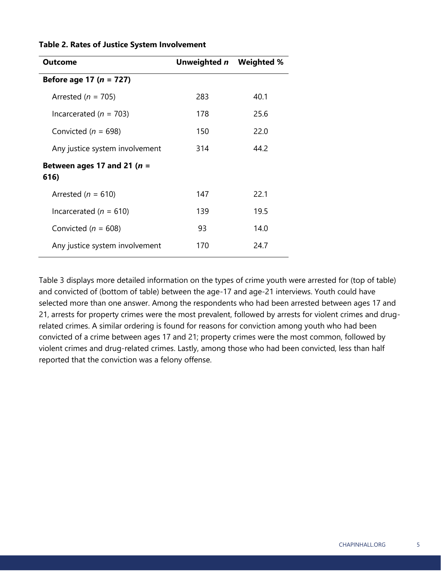| <b>Outcome</b>                         | Unweighted n Weighted % |      |
|----------------------------------------|-------------------------|------|
| Before age 17 ( $n = 727$ )            |                         |      |
| Arrested ( $n = 705$ )                 | 283                     | 40.1 |
| Incarcerated ( $n = 703$ )             | 178                     | 25.6 |
| Convicted ( $n = 698$ )                | 150                     | 22.0 |
| Any justice system involvement         | 314                     | 44.2 |
| Between ages 17 and 21 ( $n =$<br>616) |                         |      |
| Arrested ( $n = 610$ )                 | 147                     | 22.1 |
| Incarcerated ( $n = 610$ )             | 139                     | 19.5 |
| Convicted ( $n = 608$ )                | 93.                     | 14.0 |
| Any justice system involvement         | 170                     | 24.7 |

#### **Table 2. Rates of Justice System Involvement**

Table 3 displays more detailed information on the types of crime youth were arrested for (top of table) and convicted of (bottom of table) between the age-17 and age-21 interviews. Youth could have selected more than one answer. Among the respondents who had been arrested between ages 17 and 21, arrests for property crimes were the most prevalent, followed by arrests for violent crimes and drugrelated crimes. A similar ordering is found for reasons for conviction among youth who had been convicted of a crime between ages 17 and 21; property crimes were the most common, followed by violent crimes and drug-related crimes. Lastly, among those who had been convicted, less than half reported that the conviction was a felony offense.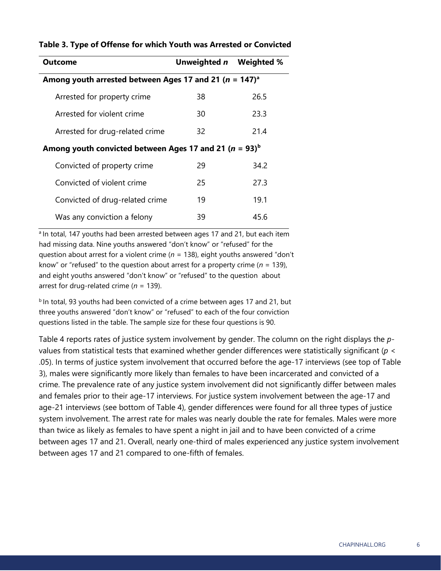| <b>Outcome</b>                                                         | Unweighted n Weighted % |      |  |  |
|------------------------------------------------------------------------|-------------------------|------|--|--|
| Among youth arrested between Ages 17 and 21 ( $n = 147$ ) <sup>a</sup> |                         |      |  |  |
| Arrested for property crime                                            | 38                      | 26.5 |  |  |
| Arrested for violent crime                                             | 30                      | 23.3 |  |  |
| Arrested for drug-related crime                                        | 32                      | 21.4 |  |  |
| Among youth convicted between Ages 17 and 21 ( $n = 93$ ) <sup>b</sup> |                         |      |  |  |
| Convicted of property crime                                            | 29                      | 34.2 |  |  |
| Convicted of violent crime                                             | 25                      | 27.3 |  |  |
| Convicted of drug-related crime                                        | 19                      | 19.1 |  |  |
| Was any conviction a felony                                            | 39                      | 45.6 |  |  |

#### **Table 3. Type of Offense for which Youth was Arrested or Convicted**

<sup>a</sup> In total, 147 youths had been arrested between ages 17 and 21, but each item had missing data. Nine youths answered "don't know" or "refused" for the question about arrest for a violent crime (*n* = 138), eight youths answered "don't know" or "refused" to the question about arrest for a property crime (*n* = 139), and eight youths answered "don't know" or "refused" to the question about arrest for drug-related crime (*n* = 139).

<sup>b</sup> In total, 93 youths had been convicted of a crime between ages 17 and 21, but three youths answered "don't know" or "refused" to each of the four conviction questions listed in the table. The sample size for these four questions is 90.

Table 4 reports rates of justice system involvement by gender. The column on the right displays the *p*values from statistical tests that examined whether gender differences were statistically significant (*p* < .05). In terms of justice system involvement that occurred before the age-17 interviews (see top of Table 3), males were significantly more likely than females to have been incarcerated and convicted of a crime. The prevalence rate of any justice system involvement did not significantly differ between males and females prior to their age-17 interviews. For justice system involvement between the age-17 and age-21 interviews (see bottom of Table 4), gender differences were found for all three types of justice system involvement. The arrest rate for males was nearly double the rate for females. Males were more than twice as likely as females to have spent a night in jail and to have been convicted of a crime between ages 17 and 21. Overall, nearly one-third of males experienced any justice system involvement between ages 17 and 21 compared to one-fifth of females.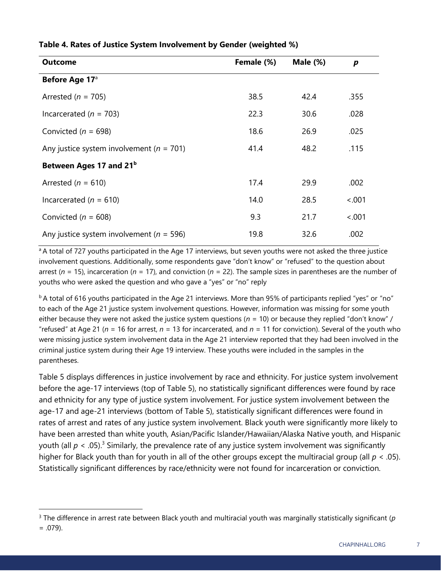| <b>Outcome</b>                               | Female (%) | Male $(\%)$ | p      |
|----------------------------------------------|------------|-------------|--------|
| Before Age 17 <sup>a</sup>                   |            |             |        |
| Arrested ( $n = 705$ )                       | 38.5       | 42.4        | .355   |
| Incarcerated ( $n = 703$ )                   | 22.3       | 30.6        | .028   |
| Convicted ( $n = 698$ )                      | 18.6       | 26.9        | .025   |
| Any justice system involvement ( $n = 701$ ) | 41.4       | 48.2        | .115   |
| Between Ages 17 and 21 <sup>b</sup>          |            |             |        |
| Arrested ( $n = 610$ )                       | 17.4       | 29.9        | .002   |
| Incarcerated ( $n = 610$ )                   | 14.0       | 28.5        | < .001 |
| Convicted ( $n = 608$ )                      | 9.3        | 21.7        | < .001 |
| Any justice system involvement ( $n = 596$ ) | 19.8       | 32.6        | .002   |

#### **Table 4. Rates of Justice System Involvement by Gender (weighted %)**

<sup>a</sup> A total of 727 youths participated in the Age 17 interviews, but seven youths were not asked the three justice involvement questions. Additionally, some respondents gave "don't know" or "refused" to the question about arrest (*n* = 15), incarceration (*n* = 17), and conviction (*n* = 22). The sample sizes in parentheses are the number of youths who were asked the question and who gave a "yes" or "no" reply

 $b$ A total of 616 youths participated in the Age 21 interviews. More than 95% of participants replied "yes" or "no" to each of the Age 21 justice system involvement questions. However, information was missing for some youth either because they were not asked the justice system questions ( $n = 10$ ) or because they replied "don't know" / "refused" at Age 21 ( $n = 16$  for arrest,  $n = 13$  for incarcerated, and  $n = 11$  for conviction). Several of the youth who were missing justice system involvement data in the Age 21 interview reported that they had been involved in the criminal justice system during their Age 19 interview. These youths were included in the samples in the parentheses.

Table 5 displays differences in justice involvement by race and ethnicity. For justice system involvement before the age-17 interviews (top of Table 5), no statistically significant differences were found by race and ethnicity for any type of justice system involvement. For justice system involvement between the age-17 and age-21 interviews (bottom of Table 5), statistically significant differences were found in rates of arrest and rates of any justice system involvement. Black youth were significantly more likely to have been arrested than white youth, Asian/Pacific Islander/Hawaiian/Alaska Native youth, and Hispanic youth (all  $p < .05$ ).<sup>3</sup> Similarly, the prevalence rate of any justice system involvement was significantly higher for Black youth than for youth in all of the other groups except the multiracial group (all *p* < .05). Statistically significant differences by race/ethnicity were not found for incarceration or conviction.

<sup>3</sup> The difference in arrest rate between Black youth and multiracial youth was marginally statistically significant (*p*

 $= .079$ ).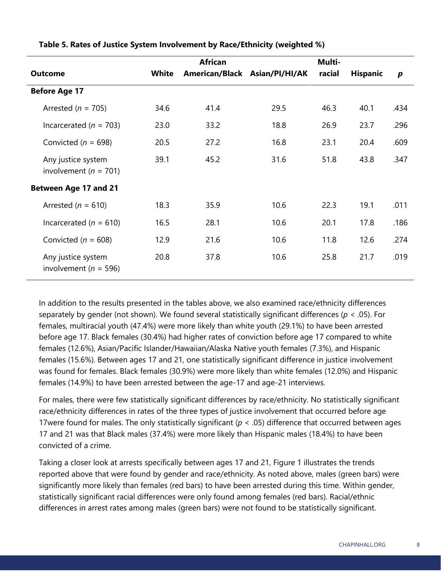|                                                 |       | <b>African</b> |                               | Multi- |                 |                  |
|-------------------------------------------------|-------|----------------|-------------------------------|--------|-----------------|------------------|
| <b>Outcome</b>                                  | White |                | American/Black Asian/PI/HI/AK | racial | <b>Hispanic</b> | $\boldsymbol{p}$ |
| <b>Before Age 17</b>                            |       |                |                               |        |                 |                  |
| Arrested ( $n = 705$ )                          | 34.6  | 41.4           | 29.5                          | 46.3   | 40.1            | .434             |
| Incarcerated ( $n = 703$ )                      | 23.0  | 33.2           | 18.8                          | 26.9   | 23.7            | .296             |
| Convicted ( $n = 698$ )                         | 20.5  | 27.2           | 16.8                          | 23.1   | 20.4            | .609             |
| Any justice system<br>involvement ( $n = 701$ ) | 39.1  | 45.2           | 31.6                          | 51.8   | 43.8            | .347             |
| <b>Between Age 17 and 21</b>                    |       |                |                               |        |                 |                  |
| Arrested ( $n = 610$ )                          | 18.3  | 35.9           | 10.6                          | 22.3   | 19.1            | .011             |
| Incarcerated ( $n = 610$ )                      | 16.5  | 28.1           | 10.6                          | 20.1   | 17.8            | .186             |
| Convicted ( $n = 608$ )                         | 12.9  | 21.6           | 10.6                          | 11.8   | 12.6            | .274             |
| Any justice system<br>involvement ( $n = 596$ ) | 20.8  | 37.8           | 10.6                          | 25.8   | 21.7            | .019             |

**Table 5. Rates of Justice System Involvement by Race/Ethnicity (weighted %)**

In addition to the results presented in the tables above, we also examined race/ethnicity differences separately by gender (not shown). We found several statistically significant differences (*p* < .05). For females, multiracial youth (47.4%) were more likely than white youth (29.1%) to have been arrested before age 17. Black females (30.4%) had higher rates of conviction before age 17 compared to white females (12.6%), Asian/Pacific Islander/Hawaiian/Alaska Native youth females (7.3%), and Hispanic females (15.6%). Between ages 17 and 21, one statistically significant difference in justice involvement was found for females. Black females (30.9%) were more likely than white females (12.0%) and Hispanic females (14.9%) to have been arrested between the age-17 and age-21 interviews.

For males, there were few statistically significant differences by race/ethnicity. No statistically significant race/ethnicity differences in rates of the three types of justice involvement that occurred before age 17were found for males. The only statistically significant (*p* < .05) difference that occurred between ages 17 and 21 was that Black males (37.4%) were more likely than Hispanic males (18.4%) to have been convicted of a crime.

Taking a closer look at arrests specifically between ages 17 and 21, Figure 1 illustrates the trends reported above that were found by gender and race/ethnicity. As noted above, males (green bars) were significantly more likely than females (red bars) to have been arrested during this time. Within gender, statistically significant racial differences were only found among females (red bars). Racial/ethnic differences in arrest rates among males (green bars) were not found to be statistically significant.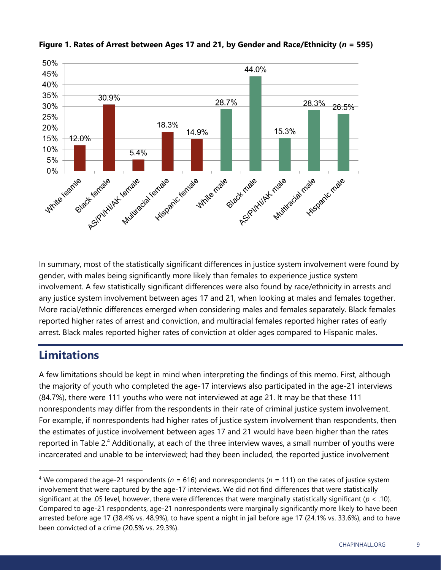

#### **Figure 1. Rates of Arrest between Ages 17 and 21, by Gender and Race/Ethnicity (***n* **= 595)**

In summary, most of the statistically significant differences in justice system involvement were found by gender, with males being significantly more likely than females to experience justice system involvement. A few statistically significant differences were also found by race/ethnicity in arrests and any justice system involvement between ages 17 and 21, when looking at males and females together. More racial/ethnic differences emerged when considering males and females separately. Black females reported higher rates of arrest and conviction, and multiracial females reported higher rates of early arrest. Black males reported higher rates of conviction at older ages compared to Hispanic males.

### **Limitations**

A few limitations should be kept in mind when interpreting the findings of this memo. First, although the majority of youth who completed the age-17 interviews also participated in the age-21 interviews (84.7%), there were 111 youths who were not interviewed at age 21. It may be that these 111 nonrespondents may differ from the respondents in their rate of criminal justice system involvement. For example, if nonrespondents had higher rates of justice system involvement than respondents, then the estimates of justice involvement between ages 17 and 21 would have been higher than the rates reported in Table 2.<sup>4</sup> Additionally, at each of the three interview waves, a small number of youths were incarcerated and unable to be interviewed; had they been included, the reported justice involvement

<sup>4</sup> We compared the age-21 respondents (*n* = 616) and nonrespondents (*n* = 111) on the rates of justice system involvement that were captured by the age-17 interviews. We did not find differences that were statistically significant at the .05 level, however, there were differences that were marginally statistically significant (*p* < .10). Compared to age-21 respondents, age-21 nonrespondents were marginally significantly more likely to have been arrested before age 17 (38.4% vs. 48.9%), to have spent a night in jail before age 17 (24.1% vs. 33.6%), and to have been convicted of a crime (20.5% vs. 29.3%).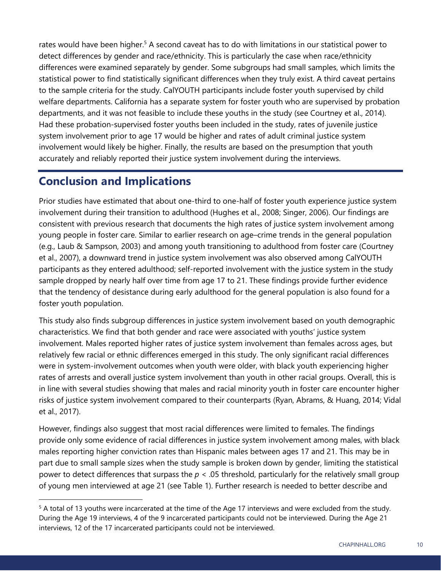rates would have been higher.<sup>5</sup> A second caveat has to do with limitations in our statistical power to detect differences by gender and race/ethnicity. This is particularly the case when race/ethnicity differences were examined separately by gender. Some subgroups had small samples, which limits the statistical power to find statistically significant differences when they truly exist. A third caveat pertains to the sample criteria for the study. CalYOUTH participants include foster youth supervised by child welfare departments. California has a separate system for foster youth who are supervised by probation departments, and it was not feasible to include these youths in the study (see Courtney et al., 2014). Had these probation-supervised foster youths been included in the study, rates of juvenile justice system involvement prior to age 17 would be higher and rates of adult criminal justice system involvement would likely be higher. Finally, the results are based on the presumption that youth accurately and reliably reported their justice system involvement during the interviews.

## **Conclusion and Implications**

Prior studies have estimated that about one-third to one-half of foster youth experience justice system involvement during their transition to adulthood (Hughes et al., 2008; Singer, 2006). Our findings are consistent with previous research that documents the high rates of justice system involvement among young people in foster care. Similar to earlier research on age–crime trends in the general population (e.g., Laub & Sampson, 2003) and among youth transitioning to adulthood from foster care (Courtney et al., 2007), a downward trend in justice system involvement was also observed among CalYOUTH participants as they entered adulthood; self-reported involvement with the justice system in the study sample dropped by nearly half over time from age 17 to 21. These findings provide further evidence that the tendency of desistance during early adulthood for the general population is also found for a foster youth population.

This study also finds subgroup differences in justice system involvement based on youth demographic characteristics. We find that both gender and race were associated with youths' justice system involvement. Males reported higher rates of justice system involvement than females across ages, but relatively few racial or ethnic differences emerged in this study. The only significant racial differences were in system-involvement outcomes when youth were older, with black youth experiencing higher rates of arrests and overall justice system involvement than youth in other racial groups. Overall, this is in line with several studies showing that males and racial minority youth in foster care encounter higher risks of justice system involvement compared to their counterparts (Ryan, Abrams, & Huang, 2014; Vidal et al., 2017).

However, findings also suggest that most racial differences were limited to females. The findings provide only some evidence of racial differences in justice system involvement among males, with black males reporting higher conviction rates than Hispanic males between ages 17 and 21. This may be in part due to small sample sizes when the study sample is broken down by gender, limiting the statistical power to detect differences that surpass the  $p < 0.05$  threshold, particularly for the relatively small group of young men interviewed at age 21 (see Table 1). Further research is needed to better describe and

<sup>5</sup> A total of 13 youths were incarcerated at the time of the Age 17 interviews and were excluded from the study. During the Age 19 interviews, 4 of the 9 incarcerated participants could not be interviewed. During the Age 21 interviews, 12 of the 17 incarcerated participants could not be interviewed.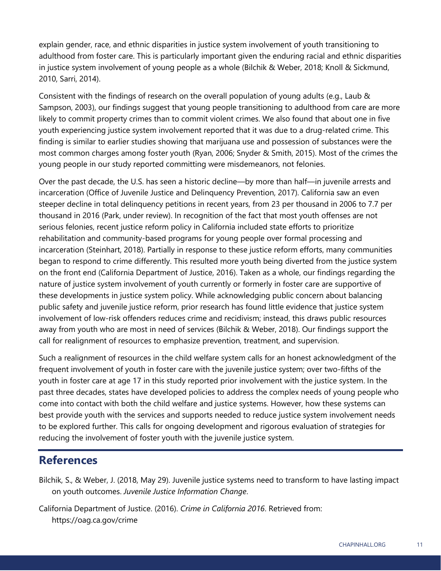explain gender, race, and ethnic disparities in justice system involvement of youth transitioning to adulthood from foster care. This is particularly important given the enduring racial and ethnic disparities in justice system involvement of young people as a whole (Bilchik & Weber, 2018; Knoll & Sickmund, 2010, Sarri, 2014).

Consistent with the findings of research on the overall population of young adults (e.g., Laub & Sampson, 2003), our findings suggest that young people transitioning to adulthood from care are more likely to commit property crimes than to commit violent crimes. We also found that about one in five youth experiencing justice system involvement reported that it was due to a drug-related crime. This finding is similar to earlier studies showing that marijuana use and possession of substances were the most common charges among foster youth (Ryan, 2006; Snyder & Smith, 2015). Most of the crimes the young people in our study reported committing were misdemeanors, not felonies.

Over the past decade, the U.S. has seen a historic decline—by more than half—in juvenile arrests and incarceration (Office of Juvenile Justice and Delinquency Prevention, 2017). California saw an even steeper decline in total delinquency petitions in recent years, from 23 per thousand in 2006 to 7.7 per thousand in 2016 (Park, under review). In recognition of the fact that most youth offenses are not serious felonies, recent justice reform policy in California included state efforts to prioritize rehabilitation and community-based programs for young people over formal processing and incarceration (Steinhart, 2018). Partially in response to these justice reform efforts, many communities began to respond to crime differently. This resulted more youth being diverted from the justice system on the front end (California Department of Justice, 2016). Taken as a whole, our findings regarding the nature of justice system involvement of youth currently or formerly in foster care are supportive of these developments in justice system policy. While acknowledging public concern about balancing public safety and juvenile justice reform, prior research has found little evidence that justice system involvement of low-risk offenders reduces crime and recidivism; instead, this draws public resources away from youth who are most in need of services (Bilchik & Weber, 2018). Our findings support the call for realignment of resources to emphasize prevention, treatment, and supervision.

Such a realignment of resources in the child welfare system calls for an honest acknowledgment of the frequent involvement of youth in foster care with the juvenile justice system; over two-fifths of the youth in foster care at age 17 in this study reported prior involvement with the justice system. In the past three decades, states have developed policies to address the complex needs of young people who come into contact with both the child welfare and justice systems. However, how these systems can best provide youth with the services and supports needed to reduce justice system involvement needs to be explored further. This calls for ongoing development and rigorous evaluation of strategies for reducing the involvement of foster youth with the juvenile justice system.

## **References**

Bilchik, S., & Weber, J. (2018, May 29). Juvenile justice systems need to transform to have lasting impact on youth outcomes. *Juvenile Justice Information Change*.

California Department of Justice. (2016). *Crime in California 2016*. Retrieved from: https://oag.ca.gov/crime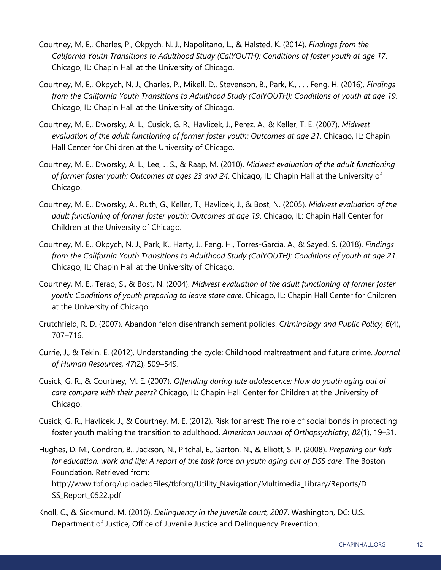- Courtney, M. E., Charles, P., Okpych, N. J., Napolitano, L., & Halsted, K. (2014). *Findings from the California Youth Transitions to Adulthood Study (CalYOUTH): Conditions of foster youth at age 17*. Chicago, IL: Chapin Hall at the University of Chicago.
- Courtney, M. E., Okpych, N. J., Charles, P., Mikell, D., Stevenson, B., Park, K., . . . Feng. H. (2016). *Findings from the California Youth Transitions to Adulthood Study (CalYOUTH): Conditions of youth at age 19*. Chicago, IL: Chapin Hall at the University of Chicago.
- Courtney, M. E., Dworsky, A. L., Cusick, G. R., Havlicek, J., Perez, A., & Keller, T. E. (2007). *Midwest evaluation of the adult functioning of former foster youth: Outcomes at age 21*. Chicago, IL: Chapin Hall Center for Children at the University of Chicago.
- Courtney, M. E., Dworsky, A. L., Lee, J. S., & Raap, M. (2010). *Midwest evaluation of the adult functioning of former foster youth: Outcomes at ages 23 and 24*. Chicago, IL: Chapin Hall at the University of Chicago.
- Courtney, M. E., Dworsky, A., Ruth, G., Keller, T., Havlicek, J., & Bost, N. (2005). *Midwest evaluation of the adult functioning of former foster youth: Outcomes at age 19*. Chicago, IL: Chapin Hall Center for Children at the University of Chicago.
- Courtney, M. E., Okpych, N. J., Park, K., Harty, J., Feng. H., Torres-García, A., & Sayed, S. (2018). *Findings from the California Youth Transitions to Adulthood Study (CalYOUTH): Conditions of youth at age 21*. Chicago, IL: Chapin Hall at the University of Chicago.
- Courtney, M. E., Terao, S., & Bost, N. (2004). *Midwest evaluation of the adult functioning of former foster youth: Conditions of youth preparing to leave state care*. Chicago, IL: Chapin Hall Center for Children at the University of Chicago.
- Crutchfield, R. D. (2007). Abandon felon disenfranchisement policies. *Criminology and Public Policy, 6*(4), 707–716.
- Currie, J., & Tekin, E. (2012). Understanding the cycle: Childhood maltreatment and future crime. *Journal of Human Resources, 47*(2), 509–549.
- Cusick, G. R., & Courtney, M. E. (2007). *Offending during late adolescence: How do youth aging out of care compare with their peers?* Chicago, IL: Chapin Hall Center for Children at the University of Chicago.
- Cusick, G. R., Havlicek, J., & Courtney, M. E. (2012). Risk for arrest: The role of social bonds in protecting foster youth making the transition to adulthood. *American Journal of Orthopsychiatry, 82*(1), 19–31.
- Hughes, D. M., Condron, B., Jackson, N., Pitchal, E., Garton, N., & Elliott, S. P. (2008). *Preparing our kids for education, work and life: A report of the task force on youth aging out of DSS care*. The Boston Foundation. Retrieved from: http://www.tbf.org/uploadedFiles/tbforg/Utility\_Navigation/Multimedia\_Library/Reports/D SS\_Report\_0522.pdf
- Knoll, C., & Sickmund, M. (2010). *Delinquency in the juvenile court, 2007*. Washington, DC: U.S. Department of Justice, Office of Juvenile Justice and Delinquency Prevention.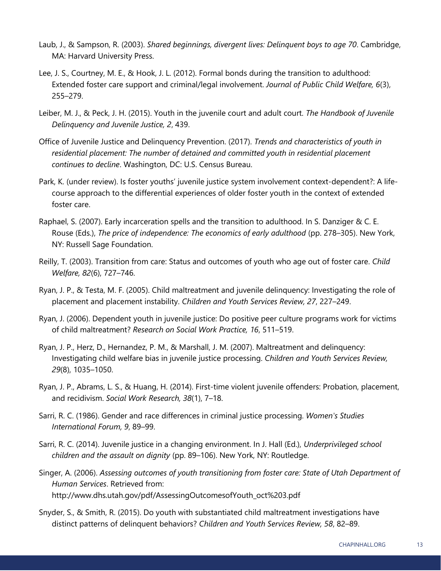- Laub, J., & Sampson, R. (2003). *Shared beginnings, divergent lives: Delinquent boys to age 70*. Cambridge, MA: Harvard University Press.
- Lee, J. S., Courtney, M. E., & Hook, J. L. (2012). Formal bonds during the transition to adulthood: Extended foster care support and criminal/legal involvement. *Journal of Public Child Welfare, 6*(3), 255–279.
- Leiber, M. J., & Peck, J. H. (2015). Youth in the juvenile court and adult court. *The Handbook of Juvenile Delinquency and Juvenile Justice, 2*, 439.
- Office of Juvenile Justice and Delinquency Prevention. (2017). *Trends and characteristics of youth in residential placement: The number of detained and committed youth in residential placement continues to decline*. Washington, DC: U.S. Census Bureau.
- Park, K. (under review). Is foster youths' juvenile justice system involvement context-dependent?: A lifecourse approach to the differential experiences of older foster youth in the context of extended foster care.
- Raphael, S. (2007). Early incarceration spells and the transition to adulthood. In S. Danziger & C. E. Rouse (Eds.), *The price of independence: The economics of early adulthood* (pp. 278–305). New York, NY: Russell Sage Foundation.
- Reilly, T. (2003). Transition from care: Status and outcomes of youth who age out of foster care. *Child Welfare, 82*(6), 727–746.
- Ryan, J. P., & Testa, M. F. (2005). Child maltreatment and juvenile delinquency: Investigating the role of placement and placement instability. *Children and Youth Services Review, 27*, 227–249.
- Ryan, J. (2006). Dependent youth in juvenile justice: Do positive peer culture programs work for victims of child maltreatment? *Research on Social Work Practice, 16*, 511–519.
- Ryan, J. P., Herz, D., Hernandez, P. M., & Marshall, J. M. (2007). Maltreatment and delinquency: Investigating child welfare bias in juvenile justice processing. *Children and Youth Services Review, 29*(8), 1035–1050.
- Ryan, J. P., Abrams, L. S., & Huang, H. (2014). First-time violent juvenile offenders: Probation, placement, and recidivism. *Social Work Research, 38*(1), 7–18.
- Sarri, R. C. (1986). Gender and race differences in criminal justice processing. *Women's Studies International Forum, 9*, 89–99.
- Sarri, R. C. (2014). Juvenile justice in a changing environment. In J. Hall (Ed.), *Underprivileged school children and the assault on dignity* (pp. 89–106). New York, NY: Routledge.
- Singer, A. (2006). *Assessing outcomes of youth transitioning from foster care: State of Utah Department of Human Services*. Retrieved from: http://www.dhs.utah.gov/pdf/AssessingOutcomesofYouth\_oct%203.pdf
- Snyder, S., & Smith, R. (2015). Do youth with substantiated child maltreatment investigations have distinct patterns of delinquent behaviors? *Children and Youth Services Review, 58*, 82–89.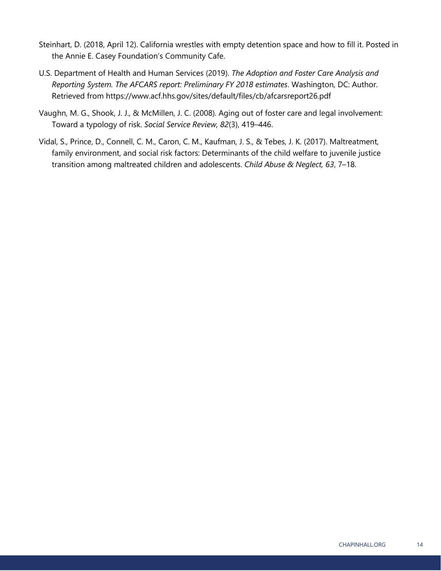- Steinhart, D. (2018, April 12). California wrestles with empty detention space and how to fill it. Posted in the Annie E. Casey Foundation's Community Cafe.
- U.S. Department of Health and Human Services (2019). *The Adoption and Foster Care Analysis and Reporting System. The AFCARS report: Preliminary FY 2018 estimates*. Washington, DC: Author. Retrieved from https://www.acf.hhs.gov/sites/default/files/cb/afcarsreport26.pdf
- Vaughn, M. G., Shook, J. J., & McMillen, J. C. (2008). Aging out of foster care and legal involvement: Toward a typology of risk. *Social Service Review, 82*(3), 419–446.
- Vidal, S., Prince, D., Connell, C. M., Caron, C. M., Kaufman, J. S., & Tebes, J. K. (2017). Maltreatment, family environment, and social risk factors: Determinants of the child welfare to juvenile justice transition among maltreated children and adolescents. *Child Abuse & Neglect, 63*, 7–18.